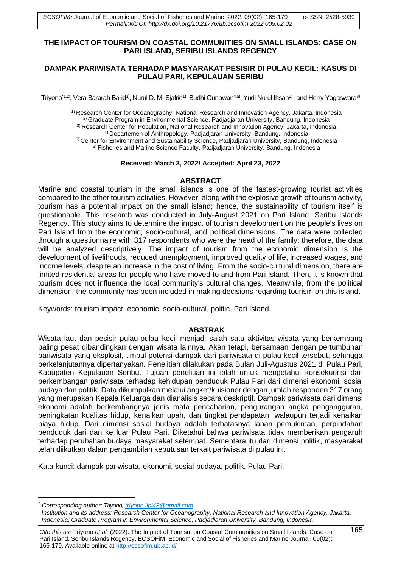#### **THE IMPACT OF TOURISM ON COASTAL COMMUNITIES ON SMALL ISLANDS: CASE ON PARI ISLAND, SERIBU ISLANDS REGENCY**

## **DAMPAK PARIWISATA TERHADAP MASYARAKAT PESISIR DI PULAU KECIL: KASUS DI PULAU PARI, KEPULAUAN SERIBU**

Triyono<sup>\*1,2)</sup>, Vera Bararah Barid<sup>3)</sup>, Nurul D. M. Sjafrie<sup>1)</sup>, Budhi Gunawan<sup>4,5)</sup>, Yudi Nurul Ihsan<sup>6)</sup>, and Herry Yogaswara<sup>3)</sup>

1) Research Center for Oceanography, National Research and Innovation Agency, Jakarta, Indonesia 2) Graduate Program in Environmental Science, Padjadjaran University, Bandung, Indonesia 3) Research Center for Population, National Research and Innovation Agency, Jakarta, Indonesia 4) Departemen of Anthropology, Padjadjaran University, Bandung, Indonesia 5) Center for Environment and Sustainability Science, Padjadjaran University, Bandung, Indonesia 6) Fisheries and Marine Science Faculty, Padjadjaran University, Bandung, Indonesia

#### **Received: March 3, 2022/ Accepted: April 23, 2022**

### **ABSTRACT**

Marine and coastal tourism in the small islands is one of the fastest-growing tourist activities compared to the other tourism activities. However, along with the explosive growth of tourism activity, tourism has a potential impact on the small island; hence, the sustainability of tourism itself is questionable. This research was conducted in July-August 2021 on Pari Island, Seribu Islands Regency. This study aims to determine the impact of tourism development on the people's lives on Pari Island from the economic, socio-cultural, and political dimensions. The data were collected through a questionnaire with 317 respondents who were the head of the family; therefore, the data will be analyzed descriptively. The impact of tourism from the economic dimension is the development of livelihoods, reduced unemployment, improved quality of life, increased wages, and income levels, despite an increase in the cost of living. From the socio-cultural dimension, there are limited residential areas for people who have moved to and from Pari Island. Then, it is known that tourism does not influence the local community's cultural changes. Meanwhile, from the political dimension, the community has been included in making decisions regarding tourism on this island.

Keywords: tourism impact, economic, socio-cultural, politic, Pari Island.

### **ABSTRAK**

Wisata laut dan pesisir pulau-pulau kecil menjadi salah satu aktivitas wisata yang berkembang paling pesat dibandingkan dengan wisata lainnya. Akan tetapi, bersamaan dengan pertumbuhan pariwisata yang eksplosif, timbul potensi dampak dari pariwisata di pulau kecil tersebut, sehingga berkelanjutannya dipertanyakan. Penelitian dilakukan pada Bulan Juli-Agustus 2021 di Pulau Pari, Kabupaten Kepulauan Seribu. Tujuan penelitian ini ialah untuk mengetahui konsekuensi dari perkembangan pariwisata terhadap kehidupan penduduk Pulau Pari dari dimensi ekonomi, sosial budaya dan politik. Data dikumpulkan melalui angket/kuisioner dengan jumlah responden 317 orang yang merupakan Kepala Keluarga dan dianalisis secara deskriptif. Dampak pariwisata dari dimensi ekonomi adalah berkembangnya jenis mata pencaharian, pengurangan angka pengangguran, peningkatan kualitas hidup, kenaikan upah, dan tingkat pendapatan, walaupun terjadi kenaikan biaya hidup. Dari dimensi sosial budaya adalah terbatasnya lahan pemukiman, perpindahan penduduk dari dan ke luar Pulau Pari. Diketahui bahwa pariwisata tidak memberikan pengaruh terhadap perubahan budaya masyarakat setempat. Sementara itu dari dimensi politik, masyarakat telah diikutkan dalam pengambilan keputusan terkait pariwisata di pulau ini.

Kata kunci: dampak pariwisata, ekonomi, sosial-budaya, politik, Pulau Pari.

*Cite this as:* Triyono *et al.* (2022). The Impact of Tourism on Coastal Communities on Small Islands: Case on 165 Pari Island, Seribu Islands Regency. ECSOFiM: Economic and Social of Fisheries and Marine Journal. 09(02): 165-179. Available online at <http://ecsofim.ub.ac.id/>

<sup>\*</sup> *Corresponding author: Triyono, [triyono.lipi43@gmail.com](mailto:triyono.lipi43@gmail.com) Institution and its address: Research Center for Oceanography, National Research and Innovation Agency, Jakarta, Indonesia; Graduate Program in Environmental Science, Padjadjaran University, Bandung, Indonesia*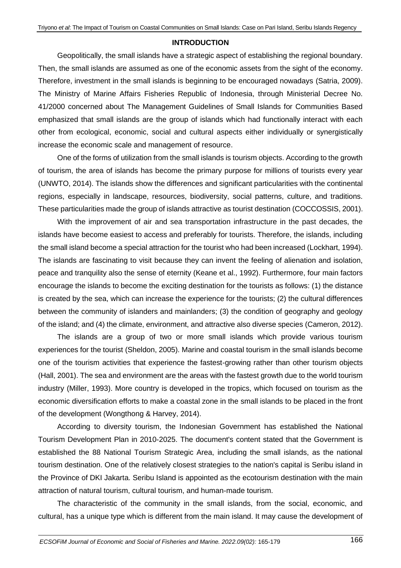### **INTRODUCTION**

Geopolitically, the small islands have a strategic aspect of establishing the regional boundary. Then, the small islands are assumed as one of the economic assets from the sight of the economy. Therefore, investment in the small islands is beginning to be encouraged nowadays (Satria, 2009). The Ministry of Marine Affairs Fisheries Republic of Indonesia, through Ministerial Decree No. 41/2000 concerned about The Management Guidelines of Small Islands for Communities Based emphasized that small islands are the group of islands which had functionally interact with each other from ecological, economic, social and cultural aspects either individually or synergistically increase the economic scale and management of resource.

One of the forms of utilization from the small islands is tourism objects. According to the growth of tourism, the area of islands has become the primary purpose for millions of tourists every year (UNWTO, 2014). The islands show the differences and significant particularities with the continental regions, especially in landscape, resources, biodiversity, social patterns, culture, and traditions. These particularities made the group of islands attractive as tourist destination (COCCOSSIS, 2001).

With the improvement of air and sea transportation infrastructure in the past decades, the islands have become easiest to access and preferably for tourists. Therefore, the islands, including the small island become a special attraction for the tourist who had been increased (Lockhart, 1994). The islands are fascinating to visit because they can invent the feeling of alienation and isolation, peace and tranquility also the sense of eternity (Keane et al., 1992). Furthermore, four main factors encourage the islands to become the exciting destination for the tourists as follows: (1) the distance is created by the sea, which can increase the experience for the tourists; (2) the cultural differences between the community of islanders and mainlanders; (3) the condition of geography and geology of the island; and (4) the climate, environment, and attractive also diverse species (Cameron, 2012).

The islands are a group of two or more small islands which provide various tourism experiences for the tourist (Sheldon, 2005). Marine and coastal tourism in the small islands become one of the tourism activities that experience the fastest-growing rather than other tourism objects (Hall, 2001). The sea and environment are the areas with the fastest growth due to the world tourism industry (Miller, 1993). More country is developed in the tropics, which focused on tourism as the economic diversification efforts to make a coastal zone in the small islands to be placed in the front of the development (Wongthong & Harvey, 2014).

According to diversity tourism, the Indonesian Government has established the National Tourism Development Plan in 2010-2025. The document's content stated that the Government is established the 88 National Tourism Strategic Area, including the small islands, as the national tourism destination. One of the relatively closest strategies to the nation's capital is Seribu island in the Province of DKI Jakarta. Seribu Island is appointed as the ecotourism destination with the main attraction of natural tourism, cultural tourism, and human-made tourism.

The characteristic of the community in the small islands, from the social, economic, and cultural, has a unique type which is different from the main island. It may cause the development of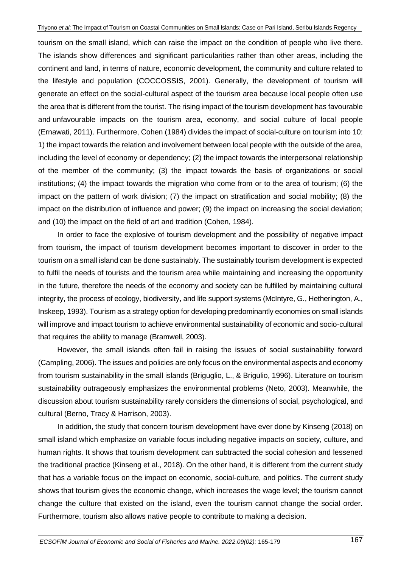tourism on the small island, which can raise the impact on the condition of people who live there. The islands show differences and significant particularities rather than other areas, including the continent and land, in terms of nature, economic development, the community and culture related to the lifestyle and population (COCCOSSIS, 2001). Generally, the development of tourism will generate an effect on the social-cultural aspect of the tourism area because local people often use the area that is different from the tourist. The rising impact of the tourism development has favourable and unfavourable impacts on the tourism area, economy, and social culture of local people (Ernawati, 2011). Furthermore, Cohen (1984) divides the impact of social-culture on tourism into 10: 1) the impact towards the relation and involvement between local people with the outside of the area, including the level of economy or dependency; (2) the impact towards the interpersonal relationship of the member of the community; (3) the impact towards the basis of organizations or social institutions; (4) the impact towards the migration who come from or to the area of tourism; (6) the impact on the pattern of work division; (7) the impact on stratification and social mobility; (8) the impact on the distribution of influence and power; (9) the impact on increasing the social deviation; and (10) the impact on the field of art and tradition (Cohen, 1984).

In order to face the explosive of tourism development and the possibility of negative impact from tourism, the impact of tourism development becomes important to discover in order to the tourism on a small island can be done sustainably. The sustainably tourism development is expected to fulfil the needs of tourists and the tourism area while maintaining and increasing the opportunity in the future, therefore the needs of the economy and society can be fulfilled by maintaining cultural integrity, the process of ecology, biodiversity, and life support systems (McIntyre, G., Hetherington, A., Inskeep, 1993). Tourism as a strategy option for developing predominantly economies on small islands will improve and impact tourism to achieve environmental sustainability of economic and socio-cultural that requires the ability to manage (Bramwell, 2003).

However, the small islands often fail in raising the issues of social sustainability forward (Campling, 2006). The issues and policies are only focus on the environmental aspects and economy from tourism sustainability in the small islands (Briguglio, L., & Brigulio, 1996). Literature on tourism sustainability outrageously emphasizes the environmental problems (Neto, 2003). Meanwhile, the discussion about tourism sustainability rarely considers the dimensions of social, psychological, and cultural (Berno, Tracy & Harrison, 2003).

In addition, the study that concern tourism development have ever done by Kinseng (2018) on small island which emphasize on variable focus including negative impacts on society, culture, and human rights. It shows that tourism development can subtracted the social cohesion and lessened the traditional practice (Kinseng et al., 2018). On the other hand, it is different from the current study that has a variable focus on the impact on economic, social-culture, and politics. The current study shows that tourism gives the economic change, which increases the wage level; the tourism cannot change the culture that existed on the island, even the tourism cannot change the social order. Furthermore, tourism also allows native people to contribute to making a decision.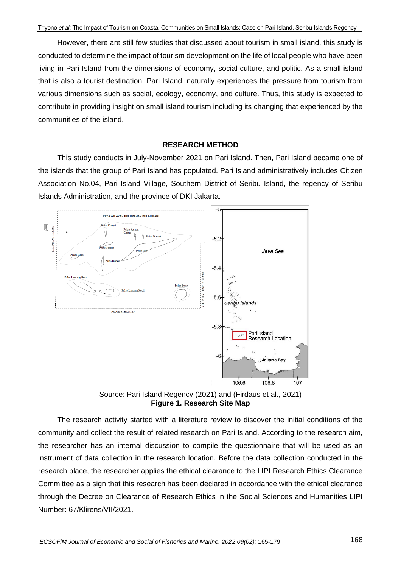However, there are still few studies that discussed about tourism in small island, this study is conducted to determine the impact of tourism development on the life of local people who have been living in Pari Island from the dimensions of economy, social culture, and politic. As a small island that is also a tourist destination, Pari Island, naturally experiences the pressure from tourism from various dimensions such as social, ecology, economy, and culture. Thus, this study is expected to contribute in providing insight on small island tourism including its changing that experienced by the communities of the island.

# **RESEARCH METHOD**

This study conducts in July-November 2021 on Pari Island. Then, Pari Island became one of the islands that the group of Pari Island has populated. Pari Island administratively includes Citizen Association No.04, Pari Island Village, Southern District of Seribu Island, the regency of Seribu Islands Administration, and the province of DKI Jakarta.



Source: Pari Island Regency (2021) and (Firdaus et al., 2021) **Figure 1. Research Site Map**

The research activity started with a literature review to discover the initial conditions of the community and collect the result of related research on Pari Island. According to the research aim, the researcher has an internal discussion to compile the questionnaire that will be used as an instrument of data collection in the research location. Before the data collection conducted in the research place, the researcher applies the ethical clearance to the LIPI Research Ethics Clearance Committee as a sign that this research has been declared in accordance with the ethical clearance through the Decree on Clearance of Research Ethics in the Social Sciences and Humanities LIPI Number: 67/Klirens/VII/2021.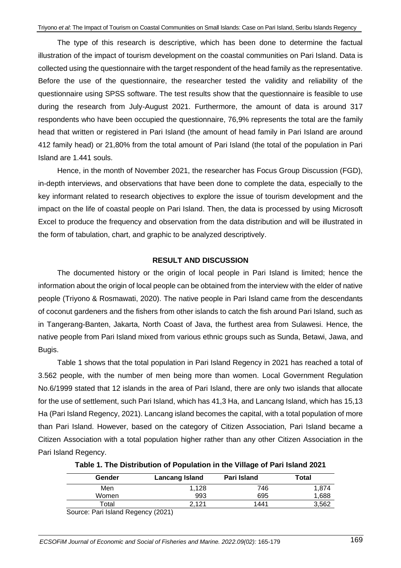The type of this research is descriptive, which has been done to determine the factual illustration of the impact of tourism development on the coastal communities on Pari Island. Data is collected using the questionnaire with the target respondent of the head family as the representative. Before the use of the questionnaire, the researcher tested the validity and reliability of the questionnaire using SPSS software. The test results show that the questionnaire is feasible to use during the research from July-August 2021. Furthermore, the amount of data is around 317 respondents who have been occupied the questionnaire, 76,9% represents the total are the family head that written or registered in Pari Island (the amount of head family in Pari Island are around 412 family head) or 21,80% from the total amount of Pari Island (the total of the population in Pari Island are 1.441 souls.

Hence, in the month of November 2021, the researcher has Focus Group Discussion (FGD), in-depth interviews, and observations that have been done to complete the data, especially to the key informant related to research objectives to explore the issue of tourism development and the impact on the life of coastal people on Pari Island. Then, the data is processed by using Microsoft Excel to produce the frequency and observation from the data distribution and will be illustrated in the form of tabulation, chart, and graphic to be analyzed descriptively.

### **RESULT AND DISCUSSION**

The documented history or the origin of local people in Pari Island is limited; hence the information about the origin of local people can be obtained from the interview with the elder of native people (Triyono & Rosmawati, 2020). The native people in Pari Island came from the descendants of coconut gardeners and the fishers from other islands to catch the fish around Pari Island, such as in Tangerang-Banten, Jakarta, North Coast of Java, the furthest area from Sulawesi. Hence, the native people from Pari Island mixed from various ethnic groups such as Sunda, Betawi, Jawa, and Bugis.

Table 1 shows that the total population in Pari Island Regency in 2021 has reached a total of 3.562 people, with the number of men being more than women. Local Government Regulation No.6/1999 stated that 12 islands in the area of Pari Island, there are only two islands that allocate for the use of settlement, such Pari Island, which has 41,3 Ha, and Lancang Island, which has 15,13 Ha (Pari Island Regency, 2021). Lancang island becomes the capital, with a total population of more than Pari Island. However, based on the category of Citizen Association, Pari Island became a Citizen Association with a total population higher rather than any other Citizen Association in the Pari Island Regency.

| Gender | <b>Lancang Island</b> | Pari Island | Total |
|--------|-----------------------|-------------|-------|
| Men    | 1.128                 | 746         | 1,874 |
| Women  | 993                   | 695         | 1,688 |
| Total  | 2.121                 | 1441        | 3,562 |

**Table 1. The Distribution of Population in the Village of Pari Island 2021**

Source: Pari Island Regency (2021)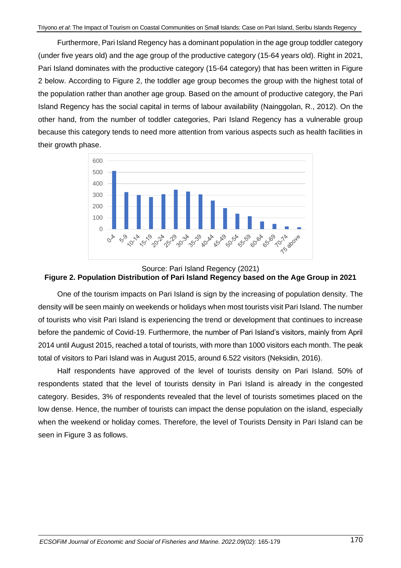Furthermore, Pari Island Regency has a dominant population in the age group toddler category (under five years old) and the age group of the productive category (15-64 years old). Right in 2021, Pari Island dominates with the productive category (15-64 category) that has been written in Figure 2 below. According to Figure 2, the toddler age group becomes the group with the highest total of the population rather than another age group. Based on the amount of productive category, the Pari Island Regency has the social capital in terms of labour availability (Nainggolan, R., 2012). On the other hand, from the number of toddler categories, Pari Island Regency has a vulnerable group because this category tends to need more attention from various aspects such as health facilities in their growth phase.



# Source: Pari Island Regency (2021) **Figure 2. Population Distribution of Pari Island Regency based on the Age Group in 2021**

One of the tourism impacts on Pari Island is sign by the increasing of population density. The density will be seen mainly on weekends or holidays when most tourists visit Pari Island. The number of tourists who visit Pari Island is experiencing the trend or development that continues to increase before the pandemic of Covid-19. Furthermore, the number of Pari Island's visitors, mainly from April 2014 until August 2015, reached a total of tourists, with more than 1000 visitors each month. The peak total of visitors to Pari Island was in August 2015, around 6.522 visitors (Neksidin, 2016).

Half respondents have approved of the level of tourists density on Pari Island. 50% of respondents stated that the level of tourists density in Pari Island is already in the congested category. Besides, 3% of respondents revealed that the level of tourists sometimes placed on the low dense. Hence, the number of tourists can impact the dense population on the island, especially when the weekend or holiday comes. Therefore, the level of Tourists Density in Pari Island can be seen in Figure 3 as follows.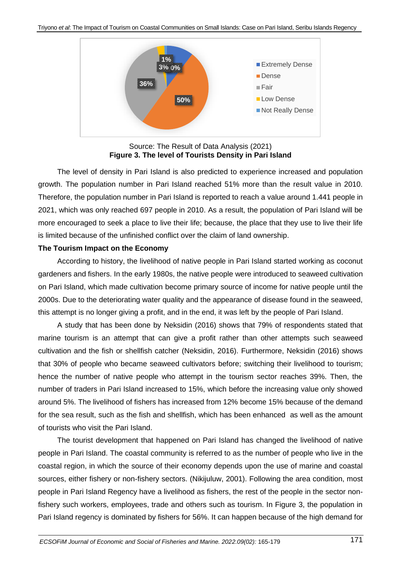

Source: The Result of Data Analysis (2021) **Figure 3. The level of Tourists Density in Pari Island**

The level of density in Pari Island is also predicted to experience increased and population growth. The population number in Pari Island reached 51% more than the result value in 2010. Therefore, the population number in Pari Island is reported to reach a value around 1.441 people in 2021, which was only reached 697 people in 2010. As a result, the population of Pari Island will be more encouraged to seek a place to live their life; because, the place that they use to live their life is limited because of the unfinished conflict over the claim of land ownership.

### **The Tourism Impact on the Economy**

According to history, the livelihood of native people in Pari Island started working as coconut gardeners and fishers. In the early 1980s, the native people were introduced to seaweed cultivation on Pari Island, which made cultivation become primary source of income for native people until the 2000s. Due to the deteriorating water quality and the appearance of disease found in the seaweed, this attempt is no longer giving a profit, and in the end, it was left by the people of Pari Island.

A study that has been done by Neksidin (2016) shows that 79% of respondents stated that marine tourism is an attempt that can give a profit rather than other attempts such seaweed cultivation and the fish or shellfish catcher (Neksidin, 2016). Furthermore, Neksidin (2016) shows that 30% of people who became seaweed cultivators before; switching their livelihood to tourism; hence the number of native people who attempt in the tourism sector reaches 39%. Then, the number of traders in Pari Island increased to 15%, which before the increasing value only showed around 5%. The livelihood of fishers has increased from 12% become 15% because of the demand for the sea result, such as the fish and shellfish, which has been enhanced as well as the amount of tourists who visit the Pari Island.

The tourist development that happened on Pari Island has changed the livelihood of native people in Pari Island. The coastal community is referred to as the number of people who live in the coastal region, in which the source of their economy depends upon the use of marine and coastal sources, either fishery or non-fishery sectors. (Nikijuluw, 2001). Following the area condition, most people in Pari Island Regency have a livelihood as fishers, the rest of the people in the sector nonfishery such workers, employees, trade and others such as tourism. In Figure 3, the population in Pari Island regency is dominated by fishers for 56%. It can happen because of the high demand for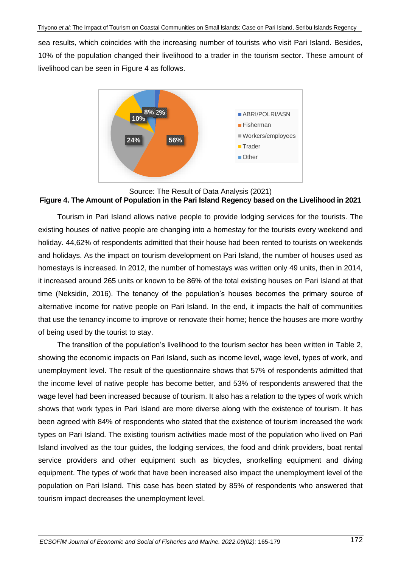sea results, which coincides with the increasing number of tourists who visit Pari Island. Besides, 10% of the population changed their livelihood to a trader in the tourism sector. These amount of livelihood can be seen in Figure 4 as follows.



### Source: The Result of Data Analysis (2021) **Figure 4. The Amount of Population in the Pari Island Regency based on the Livelihood in 2021**

Tourism in Pari Island allows native people to provide lodging services for the tourists. The existing houses of native people are changing into a homestay for the tourists every weekend and holiday. 44,62% of respondents admitted that their house had been rented to tourists on weekends and holidays. As the impact on tourism development on Pari Island, the number of houses used as homestays is increased. In 2012, the number of homestays was written only 49 units, then in 2014, it increased around 265 units or known to be 86% of the total existing houses on Pari Island at that time (Neksidin, 2016). The tenancy of the population's houses becomes the primary source of alternative income for native people on Pari Island. In the end, it impacts the half of communities that use the tenancy income to improve or renovate their home; hence the houses are more worthy of being used by the tourist to stay.

The transition of the population's livelihood to the tourism sector has been written in Table 2, showing the economic impacts on Pari Island, such as income level, wage level, types of work, and unemployment level. The result of the questionnaire shows that 57% of respondents admitted that the income level of native people has become better, and 53% of respondents answered that the wage level had been increased because of tourism. It also has a relation to the types of work which shows that work types in Pari Island are more diverse along with the existence of tourism. It has been agreed with 84% of respondents who stated that the existence of tourism increased the work types on Pari Island. The existing tourism activities made most of the population who lived on Pari Island involved as the tour guides, the lodging services, the food and drink providers, boat rental service providers and other equipment such as bicycles, snorkelling equipment and diving equipment. The types of work that have been increased also impact the unemployment level of the population on Pari Island. This case has been stated by 85% of respondents who answered that tourism impact decreases the unemployment level.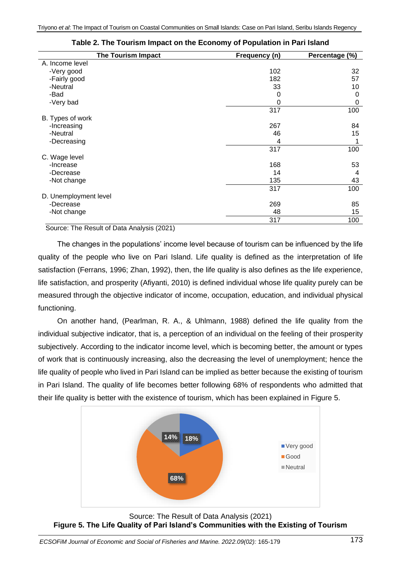| <b>The Tourism Impact</b> | Frequency (n) | Percentage (%) |
|---------------------------|---------------|----------------|
| A. Income level           |               |                |
| -Very good                | 102           | 32             |
| -Fairly good              | 182           | 57             |
| -Neutral                  | 33            | 10             |
| -Bad                      | 0             | 0              |
| -Very bad                 | 0             | 0              |
|                           | 317           | 100            |
| B. Types of work          |               |                |
| -Increasing               | 267           | 84             |
| -Neutral                  | 46            | 15             |
| -Decreasing               | 4             | 1              |
|                           | 317           | 100            |
| C. Wage level             |               |                |
| -Increase                 | 168           | 53             |
| -Decrease                 | 14            | 4              |
| -Not change               | 135           | 43             |
|                           | 317           | 100            |
| D. Unemployment level     |               |                |
| -Decrease                 | 269           | 85             |
| -Not change               | 48            | 15             |
|                           | 317           | 100            |

Source: The Result of Data Analysis (2021)

The changes in the populations' income level because of tourism can be influenced by the life quality of the people who live on Pari Island. Life quality is defined as the interpretation of life satisfaction (Ferrans, 1996; Zhan, 1992), then, the life quality is also defines as the life experience, life satisfaction, and prosperity (Afiyanti, 2010) is defined individual whose life quality purely can be measured through the objective indicator of income, occupation, education, and individual physical functioning.

On another hand, (Pearlman, R. A., & Uhlmann, 1988) defined the life quality from the individual subjective indicator, that is, a perception of an individual on the feeling of their prosperity subjectively. According to the indicator income level, which is becoming better, the amount or types of work that is continuously increasing, also the decreasing the level of unemployment; hence the life quality of people who lived in Pari Island can be implied as better because the existing of tourism in Pari Island. The quality of life becomes better following 68% of respondents who admitted that their life quality is better with the existence of tourism, which has been explained in Figure 5.



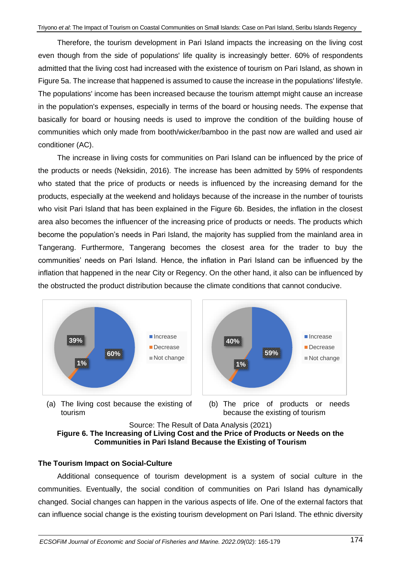Therefore, the tourism development in Pari Island impacts the increasing on the living cost even though from the side of populations' life quality is increasingly better. 60% of respondents admitted that the living cost had increased with the existence of tourism on Pari Island, as shown in Figure 5a. The increase that happened is assumed to cause the increase in the populations' lifestyle. The populations' income has been increased because the tourism attempt might cause an increase in the population's expenses, especially in terms of the board or housing needs. The expense that basically for board or housing needs is used to improve the condition of the building house of communities which only made from booth/wicker/bamboo in the past now are walled and used air conditioner (AC).

The increase in living costs for communities on Pari Island can be influenced by the price of the products or needs (Neksidin, 2016). The increase has been admitted by 59% of respondents who stated that the price of products or needs is influenced by the increasing demand for the products, especially at the weekend and holidays because of the increase in the number of tourists who visit Pari Island that has been explained in the Figure 6b. Besides, the inflation in the closest area also becomes the influencer of the increasing price of products or needs. The products which become the population's needs in Pari Island, the majority has supplied from the mainland area in Tangerang. Furthermore, Tangerang becomes the closest area for the trader to buy the communities' needs on Pari Island. Hence, the inflation in Pari Island can be influenced by the inflation that happened in the near City or Regency. On the other hand, it also can be influenced by the obstructed the product distribution because the climate conditions that cannot conducive.



(a) The living cost because the existing of tourism



(b) The price of products or needs because the existing of tourism



### **The Tourism Impact on Social-Culture**

Additional consequence of tourism development is a system of social culture in the communities. Eventually, the social condition of communities on Pari Island has dynamically changed. Social changes can happen in the various aspects of life. One of the external factors that can influence social change is the existing tourism development on Pari Island. The ethnic diversity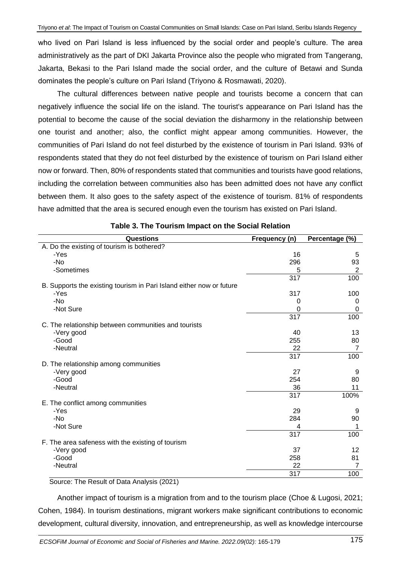who lived on Pari Island is less influenced by the social order and people's culture. The area administratively as the part of DKI Jakarta Province also the people who migrated from Tangerang, Jakarta, Bekasi to the Pari Island made the social order, and the culture of Betawi and Sunda dominates the people's culture on Pari Island (Triyono & Rosmawati, 2020).

The cultural differences between native people and tourists become a concern that can negatively influence the social life on the island. The tourist's appearance on Pari Island has the potential to become the cause of the social deviation the disharmony in the relationship between one tourist and another; also, the conflict might appear among communities. However, the communities of Pari Island do not feel disturbed by the existence of tourism in Pari Island. 93% of respondents stated that they do not feel disturbed by the existence of tourism on Pari Island either now or forward. Then, 80% of respondents stated that communities and tourists have good relations, including the correlation between communities also has been admitted does not have any conflict between them. It also goes to the safety aspect of the existence of tourism. 81% of respondents have admitted that the area is secured enough even the tourism has existed on Pari Island.

| Questions                                                            | Frequency (n) | Percentage (%) |
|----------------------------------------------------------------------|---------------|----------------|
| A. Do the existing of tourism is bothered?                           |               |                |
| -Yes                                                                 | 16            | 5              |
| -No                                                                  | 296           | 93             |
| -Sometimes                                                           | 5             | $\overline{2}$ |
|                                                                      | 317           | 100            |
| B. Supports the existing tourism in Pari Island either now or future |               |                |
| -Yes                                                                 | 317           | 100            |
| -No                                                                  | 0             | 0              |
| -Not Sure                                                            | 0             | 0              |
|                                                                      | 317           | 100            |
| C. The relationship between communities and tourists                 |               |                |
| -Very good                                                           | 40            | 13             |
| -Good                                                                | 255           | 80             |
| -Neutral                                                             | 22            | $\overline{7}$ |
|                                                                      | 317           | 100            |
| D. The relationship among communities                                |               |                |
| -Very good                                                           | 27            | 9              |
| -Good                                                                | 254           | 80             |
| -Neutral                                                             | 36            | 11             |
|                                                                      | 317           | 100%           |
| E. The conflict among communities                                    |               |                |
| -Yes                                                                 | 29            | 9              |
| -No                                                                  | 284           | 90             |
| -Not Sure                                                            | 4             |                |
|                                                                      | 317           | 100            |
| F. The area safeness with the existing of tourism                    |               |                |
| -Very good                                                           | 37            | 12             |
| -Good                                                                | 258           | 81             |
| -Neutral                                                             | 22            | 7              |
|                                                                      | 317           | 100            |

Source: The Result of Data Analysis (2021)

Another impact of tourism is a migration from and to the tourism place (Choe & Lugosi, 2021; Cohen, 1984). In tourism destinations, migrant workers make significant contributions to economic development, cultural diversity, innovation, and entrepreneurship, as well as knowledge intercourse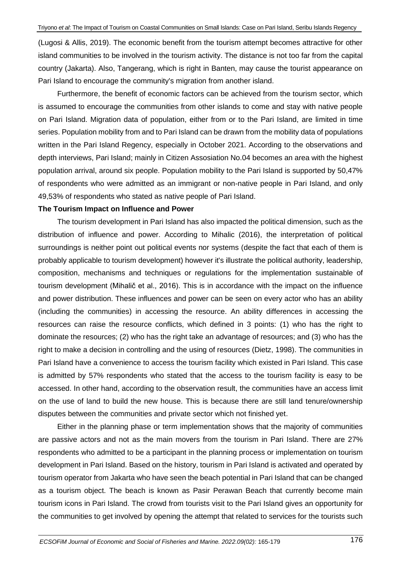(Lugosi & Allis, 2019). The economic benefit from the tourism attempt becomes attractive for other island communities to be involved in the tourism activity. The distance is not too far from the capital country (Jakarta). Also, Tangerang, which is right in Banten, may cause the tourist appearance on Pari Island to encourage the community's migration from another island.

Furthermore, the benefit of economic factors can be achieved from the tourism sector, which is assumed to encourage the communities from other islands to come and stay with native people on Pari Island. Migration data of population, either from or to the Pari Island, are limited in time series. Population mobility from and to Pari Island can be drawn from the mobility data of populations written in the Pari Island Regency, especially in October 2021. According to the observations and depth interviews, Pari Island; mainly in Citizen Assosiation No.04 becomes an area with the highest population arrival, around six people. Population mobility to the Pari Island is supported by 50,47% of respondents who were admitted as an immigrant or non-native people in Pari Island, and only 49,53% of respondents who stated as native people of Pari Island.

### **The Tourism Impact on Influence and Power**

The tourism development in Pari Island has also impacted the political dimension, such as the distribution of influence and power. According to Mihalic (2016), the interpretation of political surroundings is neither point out political events nor systems (despite the fact that each of them is probably applicable to tourism development) however it's illustrate the political authority, leadership, composition, mechanisms and techniques or regulations for the implementation sustainable of tourism development (Mihalič et al., 2016). This is in accordance with the impact on the influence and power distribution. These influences and power can be seen on every actor who has an ability (including the communities) in accessing the resource. An ability differences in accessing the resources can raise the resource conflicts, which defined in 3 points: (1) who has the right to dominate the resources; (2) who has the right take an advantage of resources; and (3) who has the right to make a decision in controlling and the using of resources (Dietz, 1998). The communities in Pari Island have a convenience to access the tourism facility which existed in Pari Island. This case is admitted by 57% respondents who stated that the access to the tourism facility is easy to be accessed. In other hand, according to the observation result, the communities have an access limit on the use of land to build the new house. This is because there are still land tenure/ownership disputes between the communities and private sector which not finished yet.

Either in the planning phase or term implementation shows that the majority of communities are passive actors and not as the main movers from the tourism in Pari Island. There are 27% respondents who admitted to be a participant in the planning process or implementation on tourism development in Pari Island. Based on the history, tourism in Pari Island is activated and operated by tourism operator from Jakarta who have seen the beach potential in Pari Island that can be changed as a tourism object. The beach is known as Pasir Perawan Beach that currently become main tourism icons in Pari Island. The crowd from tourists visit to the Pari Island gives an opportunity for the communities to get involved by opening the attempt that related to services for the tourists such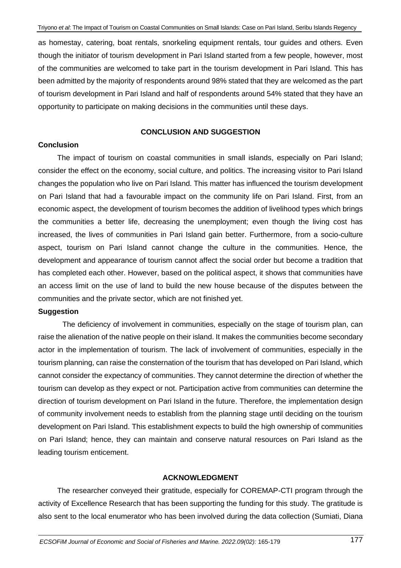as homestay, catering, boat rentals, snorkeling equipment rentals, tour guides and others. Even though the initiator of tourism development in Pari Island started from a few people, however, most of the communities are welcomed to take part in the tourism development in Pari Island. This has been admitted by the majority of respondents around 98% stated that they are welcomed as the part of tourism development in Pari Island and half of respondents around 54% stated that they have an opportunity to participate on making decisions in the communities until these days.

### **CONCLUSION AND SUGGESTION**

#### **Conclusion**

The impact of tourism on coastal communities in small islands, especially on Pari Island; consider the effect on the economy, social culture, and politics. The increasing visitor to Pari Island changes the population who live on Pari Island. This matter has influenced the tourism development on Pari Island that had a favourable impact on the community life on Pari Island. First, from an economic aspect, the development of tourism becomes the addition of livelihood types which brings the communities a better life, decreasing the unemployment; even though the living cost has increased, the lives of communities in Pari Island gain better. Furthermore, from a socio-culture aspect, tourism on Pari Island cannot change the culture in the communities. Hence, the development and appearance of tourism cannot affect the social order but become a tradition that has completed each other. However, based on the political aspect, it shows that communities have an access limit on the use of land to build the new house because of the disputes between the communities and the private sector, which are not finished yet.

#### **Suggestion**

The deficiency of involvement in communities, especially on the stage of tourism plan, can raise the alienation of the native people on their island. It makes the communities become secondary actor in the implementation of tourism. The lack of involvement of communities, especially in the tourism planning, can raise the consternation of the tourism that has developed on Pari Island, which cannot consider the expectancy of communities. They cannot determine the direction of whether the tourism can develop as they expect or not. Participation active from communities can determine the direction of tourism development on Pari Island in the future. Therefore, the implementation design of community involvement needs to establish from the planning stage until deciding on the tourism development on Pari Island. This establishment expects to build the high ownership of communities on Pari Island; hence, they can maintain and conserve natural resources on Pari Island as the leading tourism enticement.

### **ACKNOWLEDGMENT**

The researcher conveyed their gratitude, especially for COREMAP-CTI program through the activity of Excellence Research that has been supporting the funding for this study. The gratitude is also sent to the local enumerator who has been involved during the data collection (Sumiati, Diana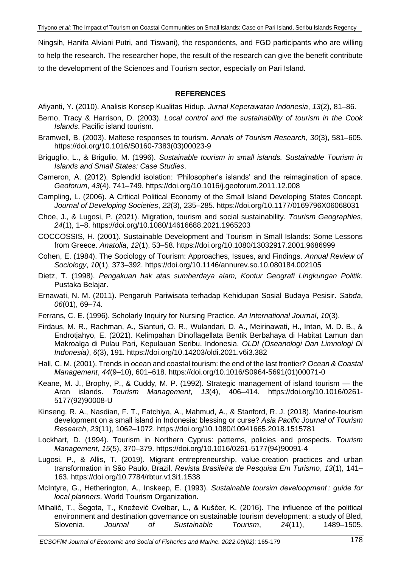Ningsih, Hanifa Alviani Putri, and Tiswani), the respondents, and FGD participants who are willing to help the research. The researcher hope, the result of the research can give the benefit contribute to the development of the Sciences and Tourism sector, especially on Pari Island.

# **REFERENCES**

Afiyanti, Y. (2010). Analisis Konsep Kualitas Hidup. *Jurnal Keperawatan Indonesia*, *13*(2), 81–86.

- Berno, Tracy & Harrison, D. (2003). *Local control and the sustainability of tourism in the Cook Islands*. Pacific island tourism.
- Bramwell, B. (2003). Maltese responses to tourism. *Annals of Tourism Research*, *30*(3), 581–605. https://doi.org/10.1016/S0160-7383(03)00023-9
- Briguglio, L., & Brigulio, M. (1996). *Sustainable tourism in small islands. Sustainable Tourism in Islands and Small States: Case Studies*.
- Cameron, A. (2012). Splendid isolation: 'Philosopher's islands' and the reimagination of space. *Geoforum*, *43*(4), 741–749. https://doi.org/10.1016/j.geoforum.2011.12.008
- Campling, L. (2006). A Critical Political Economy of the Small Island Developing States Concept. *Journal of Developing Societies*, *22*(3), 235–285. https://doi.org/10.1177/0169796X06068031
- Choe, J., & Lugosi, P. (2021). Migration, tourism and social sustainability. *Tourism Geographies*, *24*(1), 1–8. https://doi.org/10.1080/14616688.2021.1965203
- COCCOSSIS, H. (2001). Sustainable Development and Tourism in Small Islands: Some Lessons from Greece. *Anatolia*, *12*(1), 53–58. https://doi.org/10.1080/13032917.2001.9686999
- Cohen, E. (1984). The Sociology of Tourism: Approaches, Issues, and Findings. *Annual Review of Sociology*, *10*(1), 373–392. https://doi.org/10.1146/annurev.so.10.080184.002105
- Dietz, T. (1998). *Pengakuan hak atas sumberdaya alam, Kontur Geografi Lingkungan Politik*. Pustaka Belajar.
- Ernawati, N. M. (2011). Pengaruh Pariwisata terhadap Kehidupan Sosial Budaya Pesisir. *Sabda*, *06*(01), 69–74.
- Ferrans, C. E. (1996). Scholarly Inquiry for Nursing Practice. *An International Journal*, *10*(3).
- Firdaus, M. R., Rachman, A., Sianturi, O. R., Wulandari, D. A., Meirinawati, H., Intan, M. D. B., & Endrotjahyo, E. (2021). Kelimpahan Dinoflagellata Bentik Berbahaya di Habitat Lamun dan Makroalga di Pulau Pari, Kepulauan Seribu, Indonesia. *OLDI (Oseanologi Dan Limnologi Di Indonesia)*, *6*(3), 191. https://doi.org/10.14203/oldi.2021.v6i3.382
- Hall, C. M. (2001). Trends in ocean and coastal tourism: the end of the last frontier? *Ocean & Coastal Management*, *44*(9–10), 601–618. https://doi.org/10.1016/S0964-5691(01)00071-0
- Keane, M. J., Brophy, P., & Cuddy, M. P. (1992). Strategic management of island tourism the Aran islands. *Tourism Management*, *13*(4), 406–414. https://doi.org/10.1016/0261- 5177(92)90008-U
- Kinseng, R. A., Nasdian, F. T., Fatchiya, A., Mahmud, A., & Stanford, R. J. (2018). Marine-tourism development on a small island in Indonesia: blessing or curse? *Asia Pacific Journal of Tourism Research*, *23*(11), 1062–1072. https://doi.org/10.1080/10941665.2018.1515781
- Lockhart, D. (1994). Tourism in Northern Cyprus: patterns, policies and prospects. *Tourism Management*, *15*(5), 370–379. https://doi.org/10.1016/0261-5177(94)90091-4
- Lugosi, P., & Allis, T. (2019). Migrant entrepreneurship, value-creation practices and urban transformation in São Paulo, Brazil. *Revista Brasileira de Pesquisa Em Turismo*, *13*(1), 141– 163. https://doi.org/10.7784/rbtur.v13i1.1538
- McIntyre, G., Hetherington, A., Inskeep, E. (1993). *Sustainable toursim develoopment : guide for local planners*. World Tourism Organization.
- Mihalič, T., Šegota, T., Knežević Cvelbar, L., & Kuščer, K. (2016). The influence of the political environment and destination governance on sustainable tourism development: a study of Bled, Slovenia. *Journal of Sustainable Tourism*, *24*(11), 1489–1505.